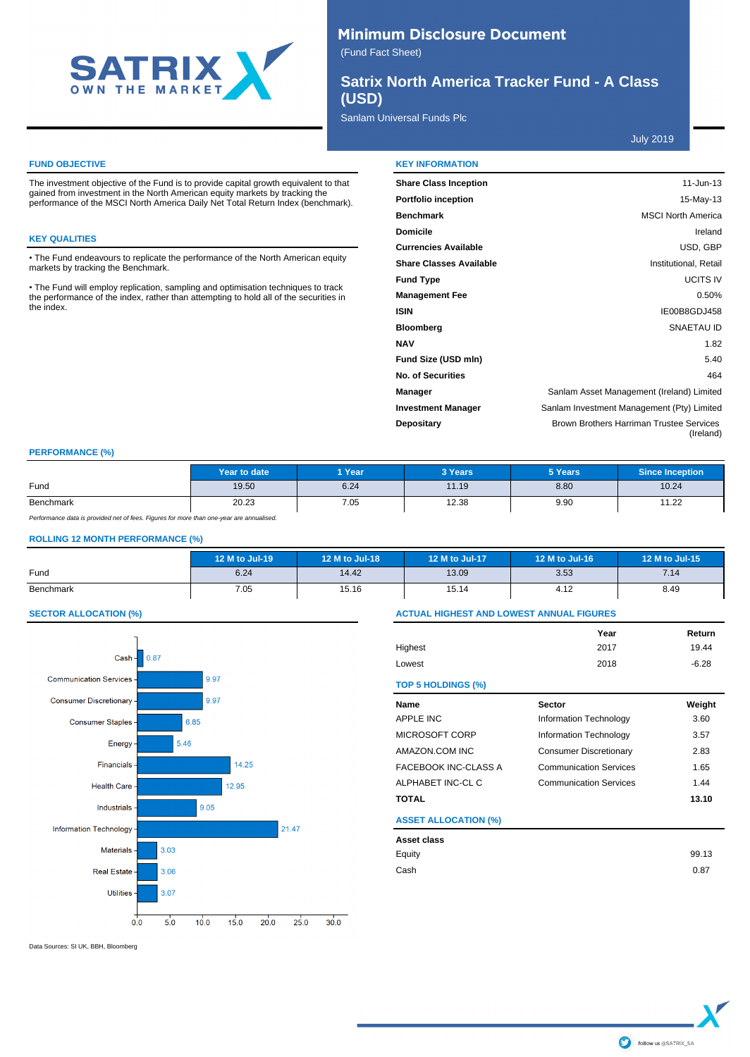

# **Minimum Disclosure Document**

(Fund Fact Sheet)

**Satrix North America Tracker Fund - A Class (USD)**

## Sanlam Universal Funds Plc

July 2019

#### **FUND OBJECTIVE**

The investment objective of the Fund is to provide capital growth equivalent to that gained from investment in the North American equity markets by tracking the performance of the MSCI North America Daily Net Total Return Index (benchmark).

#### **KEY QUALITIES**

• The Fund endeavours to replicate the performance of the North American equity markets by tracking the Benchmark.

• The Fund will employ replication, sampling and optimisation techniques to track the performance of the index, rather than attempting to hold all of the securities in the index.

| <b>KEY INFORMATION</b>         |                                                       |
|--------------------------------|-------------------------------------------------------|
| <b>Share Class Inception</b>   | $11$ -Jun-13                                          |
| <b>Portfolio inception</b>     | 15-May-13                                             |
| <b>Benchmark</b>               | <b>MSCI North America</b>                             |
| <b>Domicile</b>                | Ireland                                               |
| <b>Currencies Available</b>    | USD, GBP                                              |
| <b>Share Classes Available</b> | Institutional, Retail                                 |
| <b>Fund Type</b>               | <b>UCITS IV</b>                                       |
| <b>Management Fee</b>          | 0.50%                                                 |
| <b>ISIN</b>                    | IE00B8GDJ458                                          |
| <b>Bloomberg</b>               | SNAETAU ID                                            |
| <b>NAV</b>                     | 1.82                                                  |
| Fund Size (USD mln)            | 5.40                                                  |
| <b>No. of Securities</b>       | 464                                                   |
| <b>Manager</b>                 | Sanlam Asset Management (Ireland) Limited             |
| <b>Investment Manager</b>      | Sanlam Investment Management (Pty) Limited            |
| <b>Depositary</b>              | Brown Brothers Harriman Trustee Services<br>(Ireland) |

## **PERFORMANCE (%)**

|           | Year to date | 1 Year | 3 Years | 5 Years | <b>Since Inception</b>                |
|-----------|--------------|--------|---------|---------|---------------------------------------|
| Fund      | 19.50        | 6.24   | 11.19   | 8.80    | 10.24                                 |
| Benchmark | 20.23        | 7.05   | 12.38   | 9.90    | $\overline{A}$ $\overline{A}$<br>1.22 |

Performance data is provided net of fees. Figures for more than one-year are annualised.

### **ROLLING 12 MONTH PERFORMANCE (%)**

|           | 12 M to Jul-19 | 12 M to Jul-18 | 12 M to Jul-17 | 12 M to Jul-16 | 12 M to Jul-15 |
|-----------|----------------|----------------|----------------|----------------|----------------|
| Fund      | 6.24           | 14.42          | 13.09          | 3.53           | 7.14           |
| Benchmark | 7.05           | 15.16          | 15.14          | 4.12           | 8.49           |

## **SECTOR ALLOCATION (%)**



Data Sources: SI UK, BBH, Bloomberg

## **ACTUAL HIGHEST AND LOWEST ANNUAL FIGURES**

|                             | Year                          | Return  |
|-----------------------------|-------------------------------|---------|
| Highest                     | 2017                          | 19.44   |
| Lowest                      | 2018                          | $-6.28$ |
| <b>TOP 5 HOLDINGS (%)</b>   |                               |         |
| Name                        | <b>Sector</b>                 | Weight  |
| APPLE INC                   | Information Technology        | 3.60    |
| MICROSOFT CORP              | Information Technology        | 3.57    |
| AMAZON.COM INC              | <b>Consumer Discretionary</b> | 2.83    |
| FACEBOOK INC-CLASS A        | <b>Communication Services</b> | 1.65    |
| ALPHABET INC-CL C           | <b>Communication Services</b> | 1.44    |
| TOTAL                       |                               | 13.10   |
| <b>ASSET ALLOCATION (%)</b> |                               |         |
| Asset class                 |                               |         |
| Equity                      |                               | 99.13   |
| Cash                        |                               | 0.87    |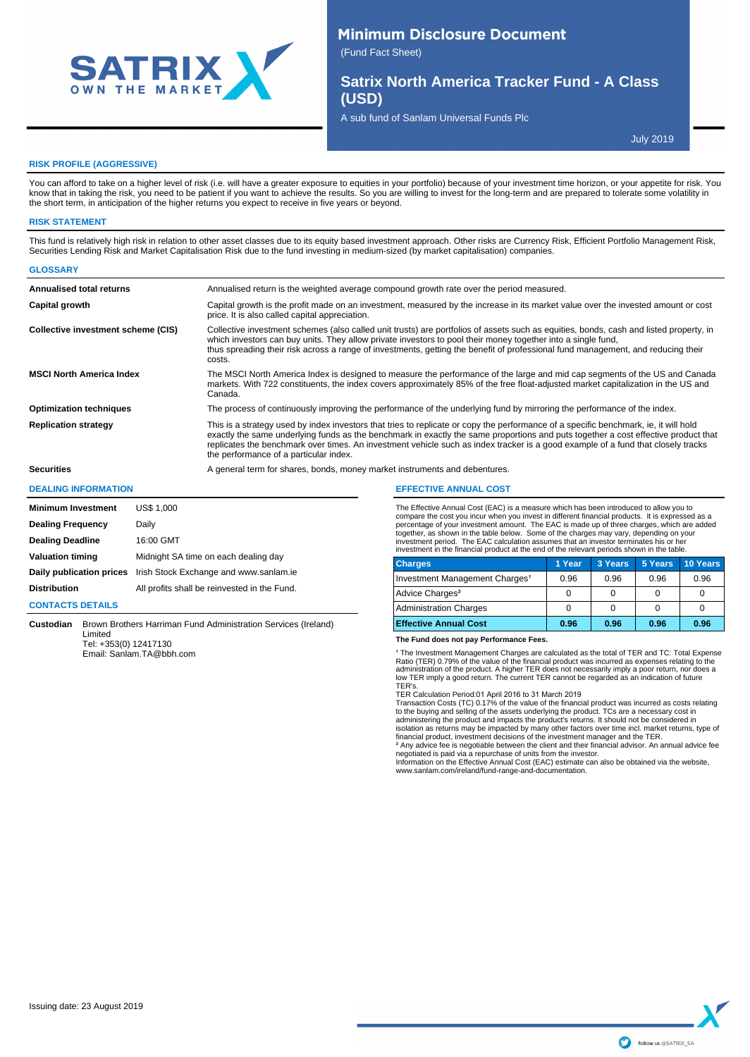

# **Minimum Disclosure Document**

(Fund Fact Sheet)

**Satrix North America Tracker Fund - A Class (USD)**

A sub fund of Sanlam Universal Funds Plc

July 2019

#### **RISK PROFILE (AGGRESSIVE)**

You can afford to take on a higher level of risk (i.e. will have a greater exposure to equities in your portfolio) because of your investment time horizon, or your appetite for risk. You know that in taking the risk, you need to be patient if you want to achieve the results. So you are willing to invest for the long-term and are prepared to tolerate some volatility in the short term, in anticipation of the higher returns you expect to receive in five years or beyond.

#### **RISK STATEMENT**

This fund is relatively high risk in relation to other asset classes due to its equity based investment approach. Other risks are Currency Risk, Efficient Portfolio Management Risk, Securities Lending Risk and Market Capitalisation Risk due to the fund investing in medium-sized (by market capitalisation) companies.

| <b>GLOSSARY</b>                    |                                                                                                                                                                                                                                                                                                                                                                                                                                                          |
|------------------------------------|----------------------------------------------------------------------------------------------------------------------------------------------------------------------------------------------------------------------------------------------------------------------------------------------------------------------------------------------------------------------------------------------------------------------------------------------------------|
| Annualised total returns           | Annualised return is the weighted average compound growth rate over the period measured.                                                                                                                                                                                                                                                                                                                                                                 |
| Capital growth                     | Capital growth is the profit made on an investment, measured by the increase in its market value over the invested amount or cost<br>price. It is also called capital appreciation.                                                                                                                                                                                                                                                                      |
| Collective investment scheme (CIS) | Collective investment schemes (also called unit trusts) are portfolios of assets such as equities, bonds, cash and listed property, in<br>which investors can buy units. They allow private investors to pool their money together into a single fund,<br>thus spreading their risk across a range of investments, getting the benefit of professional fund management, and reducing their<br>costs.                                                     |
| <b>MSCI North America Index</b>    | The MSCI North America Index is designed to measure the performance of the large and mid cap segments of the US and Canada<br>markets. With 722 constituents, the index covers approximately 85% of the free float-adjusted market capitalization in the US and<br>Canada.                                                                                                                                                                               |
| <b>Optimization techniques</b>     | The process of continuously improving the performance of the underlying fund by mirroring the performance of the index.                                                                                                                                                                                                                                                                                                                                  |
| <b>Replication strategy</b>        | This is a strategy used by index investors that tries to replicate or copy the performance of a specific benchmark, ie, it will hold<br>exactly the same underlying funds as the benchmark in exactly the same proportions and puts together a cost effective product that<br>replicates the benchmark over times. An investment vehicle such as index tracker is a good example of a fund that closely tracks<br>the performance of a particular index. |
| <b>Securities</b>                  | A general term for shares, bonds, money market instruments and debentures.                                                                                                                                                                                                                                                                                                                                                                               |

#### **DEALING INFORMATION**

| <b>Minimum Investment</b> | <b>US\$ 1,000</b>                            |
|---------------------------|----------------------------------------------|
| <b>Dealing Frequency</b>  | Daily                                        |
| <b>Dealing Deadline</b>   | 16:00 GMT                                    |
| <b>Valuation timing</b>   | Midnight SA time on each dealing day         |
| Daily publication prices  | Irish Stock Exchange and www.sanlam.ie       |
| <b>Distribution</b>       | All profits shall be reinvested in the Fund. |

#### **CONTACTS DETAILS**

**Custodian** Brown Brothers Harriman Fund Administration Services (Ireland) Limited Tel: +353(0) 12417130

Email: Sanlam.TA@bbh.com

#### **EFFECTIVE ANNUAL COST**

The Effective Annual Cost (EAC) is a measure which has been introduced to allow you to compare the cost you incur when you invest in different financial products. It is expressed as a<br>percentage of your investment amount. The EAC is made up of three charges, which are added<br>together, as shown in the table investment period. The EAC calculation assumes that an investor terminates his or her investment in the financial product at the end of the relevant periods shown in the table.

| <b>Charges</b>                             | 1 Year | 3 Years | 5 Years | 10 Years |
|--------------------------------------------|--------|---------|---------|----------|
| Investment Management Charges <sup>1</sup> | 0.96   | 0.96    | 0.96    | 0.96     |
| Advice Charges <sup>2</sup>                |        |         |         |          |
| <b>Administration Charges</b>              |        |         |         |          |
| <b>Effective Annual Cost</b>               | 0.96   | 0.96    | 0.96    | 0.96     |

#### **The Fund does not pay Performance Fees.**

<sup>1</sup> The Investment Management Charges are calculated as the total of TER and TC: Total Expense Ratio (TER) 0.79% of the value of the financial product was incurred as expenses relating to the<br>administration of the product. A higher TER does not necessarily imply a poor return, nor does a<br>low TER imply a good return.

TER's.<br>TER Calculation Period:01 April 2016 to 31 March 2019<br>Transaction Costs (TC) 0.17% of the value of the financial product was incurred as costs relating<br>to the buying and selling of the assets underlying the product.

isolation as returns may be impacted by many other factors over time incl. market returns, type of financial product, investment decisions of the investment manager and the TER.

° Any advice fee is negotiable between the client and their financial advisor. An annual advice fee<br>negotiated is paid via a repurchase of units from the investor.<br>Information on the Effective Annual Cost (EAC) estimate c www.sanlam.com/ireland/fund-range-and-documentation.

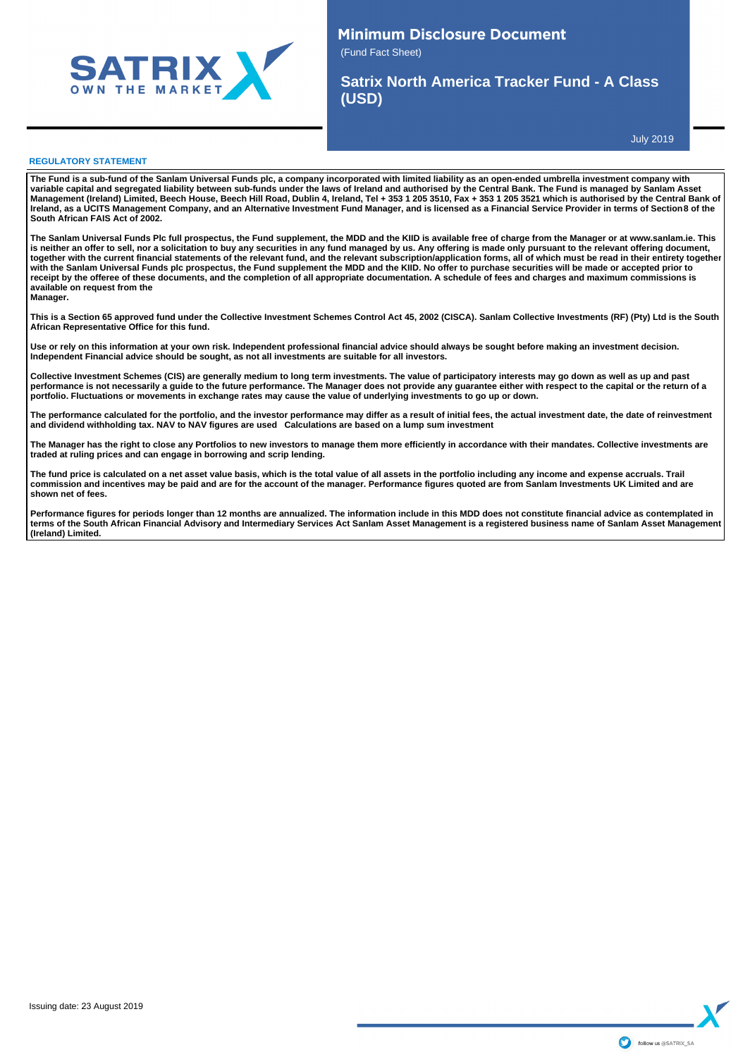

## **Minimum Disclosure Document** (Fund Fact Sheet)

**Satrix North America Tracker Fund - A Class (USD)**

July 2019

#### **REGULATORY STATEMENT**

**The Fund is a sub-fund of the Sanlam Universal Funds plc, a company incorporated with limited liability as an open-ended umbrella investment company with**  variable capital and segregated liability between sub-funds under the laws of Ireland and authorised by the Central Bank. The Fund is managed by Sanlam Asset<br>Management (Ireland) Limited, Beech House, Beech Hill Road, Dubl **Ireland, as a UCITS Management Company, and an Alternative Investment Fund Manager, and is licensed as a Financial Service Provider in terms of Section 8 of the South African FAIS Act of 2002.**

**The Sanlam Universal Funds Plc full prospectus, the Fund supplement, the MDD and the KIID is available free of charge from the Manager or at www.sanlam.ie. This**  is neither an offer to sell, nor a solicitation to buy any securities in any fund managed by us. Any offering is made only pursuant to the relevant offering document,<br>together with the current financial statements of the r with the Sanlam Universal Funds plc prospectus, the Fund supplement the MDD and the KIID. No offer to purchase securities will be made or accepted prior to **receipt by the offeree of these documents, and the completion of all appropriate documentation. A schedule of fees and charges and maximum commissions is available on request from the Manager.**

**This is a Section 65 approved fund under the Collective Investment Schemes Control Act 45, 2002 (CISCA). Sanlam Collective Investments (RF) (Pty) Ltd is the South African Representative Office for this fund.**

**Use or rely on this information at your own risk. Independent professional financial advice should always be sought before making an investment decision. Independent Financial advice should be sought, as not all investments are suitable for all investors.** 

Collective Investment Schemes (CIS) are generally medium to long term investments. The value of participatory interests may go down as well as up and past<br>performance is not necessarily a guide to the future performance. T **portfolio. Fluctuations or movements in exchange rates may cause the value of underlying investments to go up or down.** 

The performance calculated for the portfolio, and the investor performance may differ as a result of initial fees, the actual investment date, the date of reinvestment<br>and dividend withholding tax. NAV to NAV figures are u

**The Manager has the right to close any Portfolios to new investors to manage them more efficiently in accordance with their mandates. Collective investments are traded at ruling prices and can engage in borrowing and scrip lending.**

The fund price is calculated on a net asset value basis, which is the total value of all assets in the portfolio including any income and expense accruals. Trail **commission and incentives may be paid and are for the account of the manager. Performance figures quoted are from Sanlam Investments UK Limited and are shown net of fees.** 

Performance figures for periods longer than 12 months are annualized. The information include in this MDD does not constitute financial advice as contemplated in **terms of the South African Financial Advisory and Intermediary Services Act Sanlam Asset Management is a registered business name of Sanlam Asset Management (Ireland) Limited.**

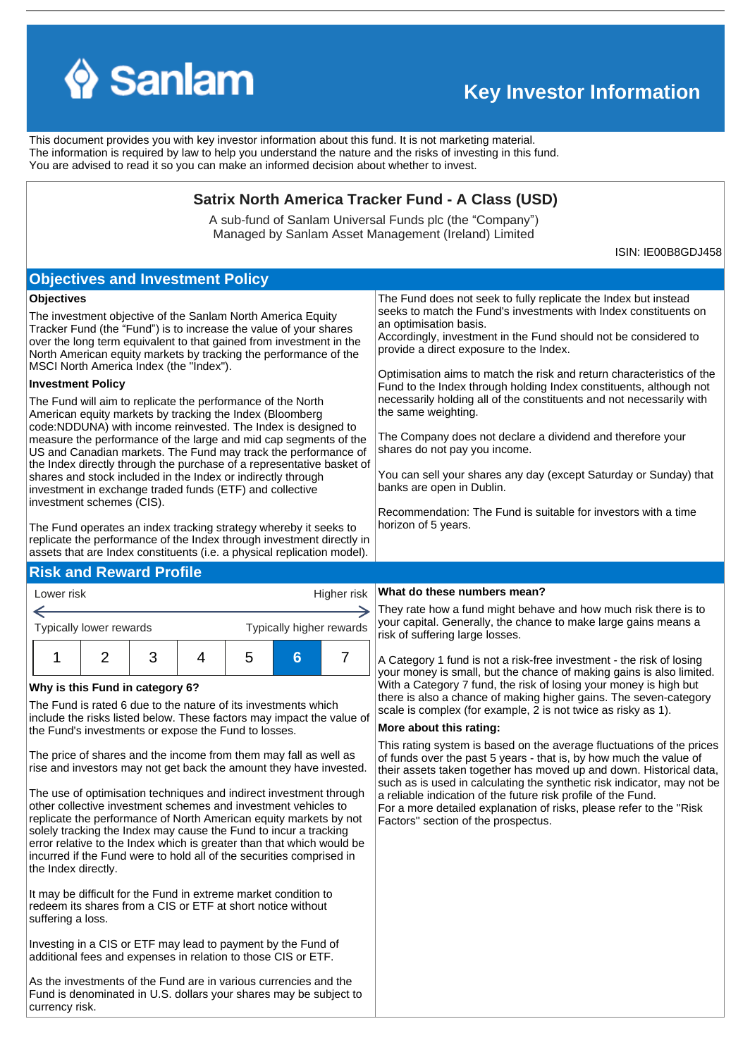

←

# **Key Investor Information**

This document provides you with key investor information about this fund. It is not marketing material. The information is required by law to help you understand the nature and the risks of investing in this fund. You are advised to read it so you can make an informed decision about whether to invest.

## **Satrix North America Tracker Fund - A Class (USD)**

A sub-fund of Sanlam Universal Funds plc (the "Company") Managed by Sanlam Asset Management (Ireland) Limited

ISIN: IE00B8GDJ458

#### The Fund will aim to replicate the performance of the North American equity markets by tracking the Index (Bloomberg code:NDDUNA) with income reinvested. The Index is designed to measure the performance of the large and mid cap segments of the US and Canadian markets. The Fund may track the performance of the Index directly through the purchase of a representative basket of shares and stock included in the Index or indirectly through investment in exchange traded funds (ETF) and collective investment schemes (CIS). The Fund operates an index tracking strategy whereby it seeks to replicate the performance of the Index through investment directly in assets that are Index constituents (i.e. a physical replication model). **Investment Policy** The investment objective of the Sanlam North America Equity Tracker Fund (the "Fund") is to increase the value of your shares over the long term equivalent to that gained from investment in the North American equity markets by tracking the performance of the MSCI North America Index (the "Index"). **Objectives** Lower risk Typically lower rewards **Why is this Fund in category 6?** The Fund is rated 6 due to the nature of its investments which include the risks listed below. These factors may impact the value of the Fund's investments or expose the Fund to losses. The price of shares and the income from them may fall as well as rise and investors may not get back the amount they have invested. The use of optimisation techniques and indirect investment through other collective investment schemes and investment vehicles to replicate the performance of North American equity markets by not solely tracking the Index may cause the Fund to incur a tracking error relative to the Index which is greater than that which would be incurred if the Fund were to hold all of the securities comprised in the Index directly. It may be difficult for the Fund in extreme market condition to redeem its shares from a CIS or ETF at short notice without suffering a loss. Investing in a CIS or ETF may lead to payment by the Fund of additional fees and expenses in relation to those CIS or ETF. Typically higher rewards Higher risk 1 2 3 4 5 **6** 7 **Objectives and Investment Policy** The Fund does not seek to fully replicate the Index but instead seeks to match the Fund's investments with Index constituents on an optimisation basis. Accordingly, investment in the Fund should not be considered to provide a direct exposure to the Index. Optimisation aims to match the risk and return characteristics of the Fund to the Index through holding Index constituents, although not necessarily holding all of the constituents and not necessarily with the same weighting. The Company does not declare a dividend and therefore your shares do not pay you income. You can sell your shares any day (except Saturday or Sunday) that banks are open in Dublin. Recommendation: The Fund is suitable for investors with a time horizon of 5 years. **Risk and Reward Profile What do these numbers mean?** risk of suffering large losses. **More about this rating:** a reliable indication of the future risk profile of the Fund. Factors'' section of the prospectus.

As the investments of the Fund are in various currencies and the Fund is denominated in U.S. dollars your shares may be subject to currency risk.

They rate how a fund might behave and how much risk there is to your capital. Generally, the chance to make large gains means a

A Category 1 fund is not a risk-free investment - the risk of losing your money is small, but the chance of making gains is also limited. With a Category 7 fund, the risk of losing your money is high but there is also a chance of making higher gains. The seven-category scale is complex (for example, 2 is not twice as risky as 1).

This rating system is based on the average fluctuations of the prices of funds over the past 5 years - that is, by how much the value of their assets taken together has moved up and down. Historical data, such as is used in calculating the synthetic risk indicator, may not be For a more detailed explanation of risks, please refer to the ''Risk